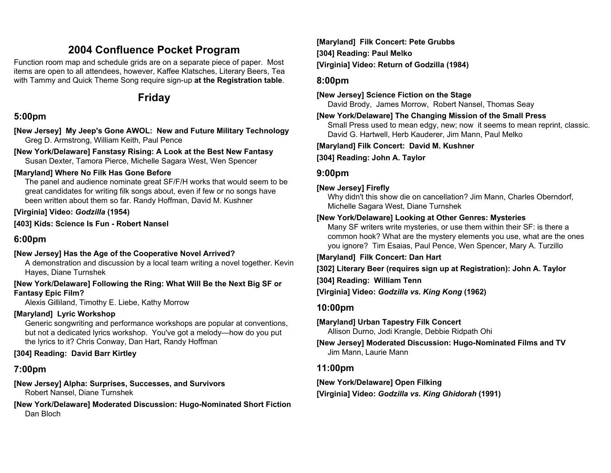# **2004 Confluence Pocket Program**

Function room map and schedule grids are on a separate piece of paper. Most items are open to all attendees, however, Kaffee Klatsches, Literary Beers, Tea with Tammy and Quick Theme Song require sign-up **at the Registration table**.

# **Friday**

# **5:00pm**

**[New Jersey] My Jeep's Gone AWOL: New and Future Military Technology**  Greg D. Armstrong, William Keith, Paul Pence

**[New York/Delaware] Fanstasy Rising: A Look at the Best New Fantasy**  Susan Dexter, Tamora Pierce, Michelle Sagara West, Wen Spencer

### **[Maryland] Where No Filk Has Gone Before**

The panel and audience nominate great SF/F/H works that would seem to be great candidates for writing filk songs about, even if few or no songs have been written about them so far. Randy Hoffman, David M. Kushner

### **[Virginia] Video:** *Godzilla* **(1954)**

**[403] Kids: Science Is Fun - Robert Nansel** 

# **6:00pm**

# **[New Jersey] Has the Age of the Cooperative Novel Arrived?**

A demonstration and discussion by a local team writing a novel together. Kevin Hayes, Diane Turnshek

#### **[New York/Delaware] Following the Ring: What Will Be the Next Big SF or Fantasy Epic Film?**

Alexis Gilliland, Timothy E. Liebe, Kathy Morrow

# **[Maryland] Lyric Workshop**

Generic songwriting and performance workshops are popular at conventions, but not a dedicated lyrics workshop. You've got a melody—how do you put the lyrics to it? Chris Conway, Dan Hart, Randy Hoffman

# **[304] Reading: David Barr Kirtley**

# **7:00pm**

**[New Jersey] Alpha: Surprises, Successes, and Survivors**  Robert Nansel, Diane Turnshek

**[New York/Delaware] Moderated Discussion: Hugo-Nominated Short Fiction**  Dan Bloch

**[Maryland] Filk Concert: Pete Grubbs [304] Reading: Paul Melko [Virginia] Video: Return of Godzilla (1984)** 

## **8:00pm**

**[New Jersey] Science Fiction on the Stage** 

David Brody, James Morrow, Robert Nansel, Thomas Seay

# **[New York/Delaware] The Changing Mission of the Small Press**

Small Press used to mean edgy, new; now it seems to mean reprint, classic. David G. Hartwell, Herb Kauderer, Jim Mann, Paul Melko

**[Maryland] Filk Concert: David M. Kushner** 

**[304] Reading: John A. Taylor** 

# **9:00pm**

### **[New Jersey] Firefly**

Why didn't this show die on cancellation? Jim Mann, Charles Oberndorf, Michelle Sagara West, Diane Turnshek

## **[New York/Delaware] Looking at Other Genres: Mysteries**

Many SF writers write mysteries, or use them within their SF: is there a common hook? What are the mystery elements you use, what are the ones you ignore? Tim Esaias, Paul Pence, Wen Spencer, Mary A. Turzillo

**[Maryland] Filk Concert: Dan Hart** 

**[302] Literary Beer (requires sign up at Registration): John A. Taylor** 

### **[304] Reading: William Tenn**

**[Virginia] Video:** *Godzilla vs. King Kong* **(1962)** 

# **10:00pm**

**[Maryland] Urban Tapestry Filk Concert** 

Allison Durno, Jodi Krangle, Debbie Ridpath Ohi

**[New Jersey] Moderated Discussion: Hugo-Nominated Films and TV**  Jim Mann, Laurie Mann

# **11:00pm**

**[New York/Delaware] Open Filking [Virginia] Video:** *Godzilla vs. King Ghidorah* **(1991)**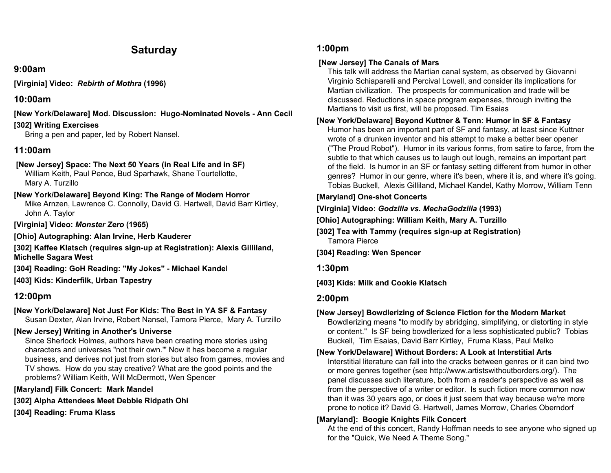# **Saturday**

### **9:00am**

**[Virginia] Video:** *Rebirth of Mothra* **(1996)** 

# **10:00am**

**[New York/Delaware] Mod. Discussion: Hugo-Nominated Novels - Ann Cecil** 

## **[302] Writing Exercises**

Bring a pen and paper, led by Robert Nansel.

# **11:00am**

#### **[New Jersey] Space: The Next 50 Years (in Real Life and in SF)**  William Keith, Paul Pence, Bud Sparhawk, Shane Tourtellotte, Mary A. Turzillo

# **[New York/Delaware] Beyond King: The Range of Modern Horror**

Mike Arnzen, Lawrence C. Connolly, David G. Hartwell, David Barr Kirtley, John A. Taylor

**[Virginia] Video:** *Monster Zero* **(1965)** 

**[Ohio] Autographing: Alan Irvine, Herb Kauderer** 

**[302] Kaffee Klatsch (requires sign-up at Registration): Alexis Gilliland, Michelle Sagara West** 

**[304] Reading: GoH Reading: "My Jokes" - Michael Kandel** 

**[403] Kids: Kinderfilk, Urban Tapestry** 

# **12:00pm**

# **[New York/Delaware] Not Just For Kids: The Best in YA SF & Fantasy**

Susan Dexter, Alan Irvine, Robert Nansel, Tamora Pierce, Mary A. Turzillo

### **[New Jersey] Writing in Another's Universe**

Since Sherlock Holmes, authors have been creating more stories using characters and universes "not their own.'" Now it has become a regular business, and derives not just from stories but also from games, movies and TV shows. How do you stay creative? What are the good points and the problems? William Keith, Will McDermott, Wen Spencer

### **[Maryland] Filk Concert: Mark Mandel**

**[302] Alpha Attendees Meet Debbie Ridpath Ohi** 

**[304] Reading: Fruma Klass** 

# **1:00pm**

## **[New Jersey] The Canals of Mars**

This talk will address the Martian canal system, as observed by Giovanni Virginio Schiaparelli and Percival Lowell, and consider its implications for Martian civilization. The prospects for communication and trade will be discussed. Reductions in space program expenses, through inviting the Martians to visit us first, will be proposed. Tim Esaias

### **[New York/Delaware] Beyond Kuttner & Tenn: Humor in SF & Fantasy**

Humor has been an important part of SF and fantasy, at least since Kuttner wrote of a drunken inventor and his attempt to make a better beer opener ("The Proud Robot"). Humor in its various forms, from satire to farce, from the subtle to that which causes us to laugh out lough, remains an important part of the field. Is humor in an SF or fantasy setting different from humor in other genres? Humor in our genre, where it's been, where it is, and where it's going. Tobias Buckell, Alexis Gilliland, Michael Kandel, Kathy Morrow, William Tenn

### **[Maryland] One-shot Concerts**

**[Virginia] Video:** *Godzilla vs. MechaGodzilla* **(1993)** 

**[Ohio] Autographing: William Keith, Mary A. Turzillo** 

- **[302] Tea with Tammy (requires sign-up at Registration)**  Tamora Pierce
- **[304] Reading: Wen Spencer**

**1:30pm** 

**[403] Kids: Milk and Cookie Klatsch** 

# **2:00pm**

# **[New Jersey] Bowdlerizing of Science Fiction for the Modern Market**

Bowdlerizing means "to modify by abridging, simplifying, or distorting in style or content." Is SF being bowdlerized for a less sophisticated public? Tobias Buckell, Tim Esaias, David Barr Kirtley, Fruma Klass, Paul Melko

# **[New York/Delaware] Without Borders: A Look at Interstitial Arts**

Interstitial literature can fall into the cracks between genres or it can bind two or more genres together (see http://www.artistswithoutborders.org/). The panel discusses such literature, both from a reader's perspective as well as from the perspective of a writer or editor. Is such fiction more common now than it was 30 years ago, or does it just seem that way because we're more prone to notice it? David G. Hartwell, James Morrow, Charles Oberndorf

# **[Maryland]: Boogie Knights Filk Concert**

At the end of this concert, Randy Hoffman needs to see anyone who signed up for the "Quick, We Need A Theme Song."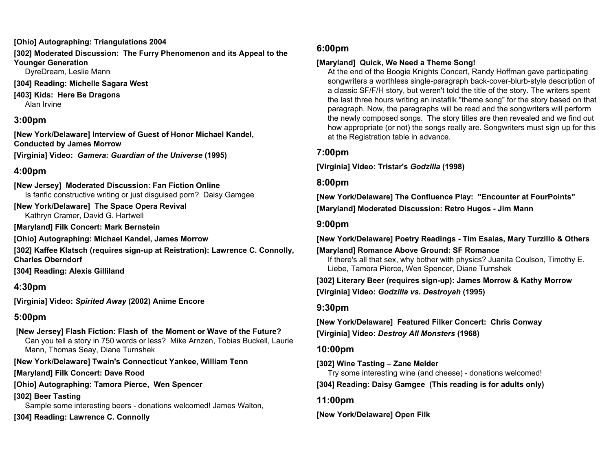#### **[Ohio] Autographing: Triangulations 2004**

**[302] Moderated Discussion: The Furry Phenomenon and its Appeal to the Younger Generation** 

DyreDream, Leslie Mann

- **[304] Reading: Michelle Sagara West**
- **[403] Kids: Here Be Dragons**  Alan Irvine

# **3:00pm**

**[New York/Delaware] Interview of Guest of Honor Michael Kandel, Conducted by James Morrow** 

**[Virginia] Video:** *Gamera: Guardian of the Universe* **(1995)** 

# **4:00pm**

**[New Jersey] Moderated Discussion: Fan Fiction Online**  Is fanfic constructive writing or just disguised porn? Daisy Gamgee

**[New York/Delaware] The Space Opera Revival**  Kathryn Cramer, David G. Hartwell

**[Maryland] Filk Concert: Mark Bernstein** 

**[Ohio] Autographing: Michael Kandel, James Morrow** 

**[302] Kaffee Klatsch (requires sign-up at Reistration): Lawrence C. Connolly, Charles Oberndorf** 

**[304] Reading: Alexis Gilliland** 

# **4:30pm**

**[Virginia] Video:** *Spirited Away* **(2002) Anime Encore** 

# **5:00pm**

#### **[New Jersey] Flash Fiction: Flash of the Moment or Wave of the Future?**  Can you tell a story in 750 words or less? Mike Arnzen, Tobias Buckell, Laurie Mann, Thomas Seay, Diane Turnshek

### **[New York/Delaware] Twain's Connecticut Yankee, William Tenn**

**[Maryland] Filk Concert: Dave Rood** 

**[Ohio] Autographing: Tamora Pierce, Wen Spencer** 

**[302] Beer Tasting** 

Sample some interesting beers - donations welcomed! James Walton,

**[304] Reading: Lawrence C. Connolly** 

## **6:00pm**

### **[Maryland] Quick, We Need a Theme Song!**

At the end of the Boogie Knights Concert, Randy Hoffman gave participating songwriters a worthless single-paragraph back-cover-blurb-style description of a classic SF/F/H story, but weren't told the title of the story. The writers spent the last three hours writing an instafilk "theme song" for the story based on that paragraph. Now, the paragraphs will be read and the songwriters will perform the newly composed songs. The story titles are then revealed and we find out how appropriate (or not) the songs really are. Songwriters must sign up for this at the Registration table in advance.

# **7:00pm**

**[Virginia] Video: Tristar's** *Godzilla* **(1998)** 

### **8:00pm**

**[New York/Delaware] The Confluence Play: "Encounter at FourPoints" [Maryland] Moderated Discussion: Retro Hugos - Jim Mann** 

## **9:00pm**

**[New York/Delaware] Poetry Readings - Tim Esaias, Mary Turzillo & Others** 

**[Maryland] Romance Above Ground: SF Romance**  If there's all that sex, why bother with physics? Juanita Coulson, Timothy E. Liebe, Tamora Pierce, Wen Spencer, Diane Turnshek

**[302] Literary Beer (requires sign-up): James Morrow & Kathy Morrow [Virginia] Video:** *Godzilla vs. Destroyah* **(1995)** 

# **9:30pm**

**[New York/Delaware] Featured Filker Concert: Chris Conway [Virginia] Video:** *Destroy All Monsters* **(1968)** 

### **10:00pm**

### **[302] Wine Tasting – Zane Melder**

Try some interesting wine (and cheese) - donations welcomed!

**[304] Reading: Daisy Gamgee (This reading is for adults only)** 

# **11:00pm**

**[New York/Delaware] Open Filk**